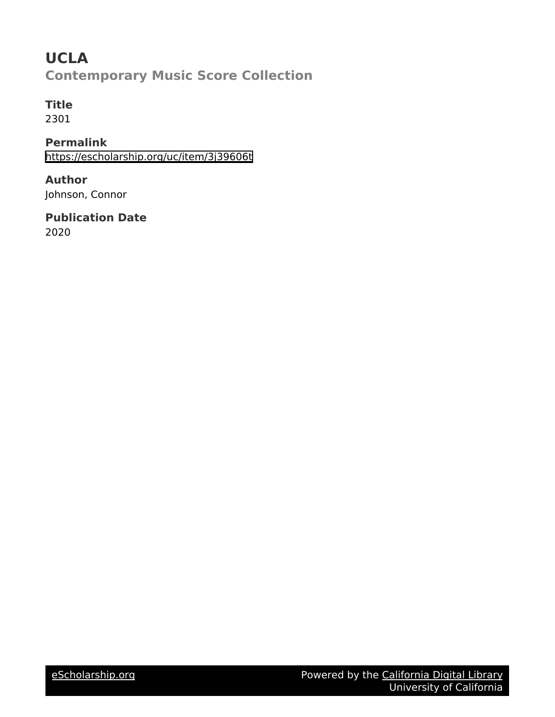## **UCLA Contemporary Music Score Collection**

### **Title**

2301

**Permalink** <https://escholarship.org/uc/item/3j39606t>

**Author** Johnson, Connor

**Publication Date** 2020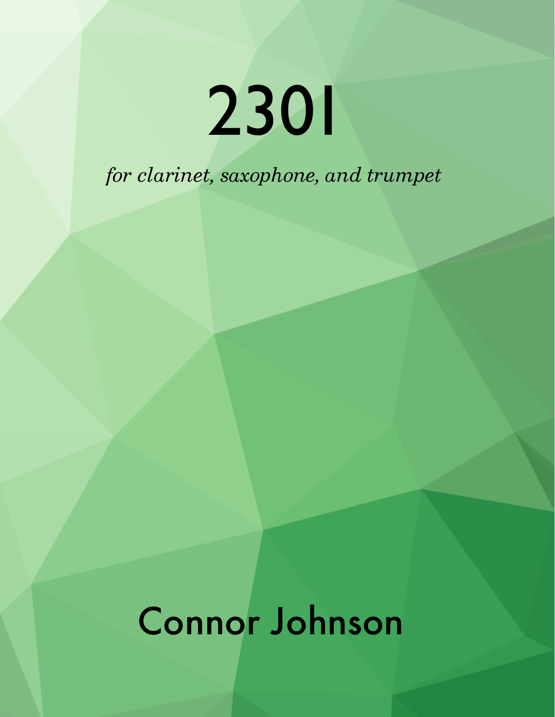# 2301

*for clarinet, saxophone, and trumpet*

## Connor Johnson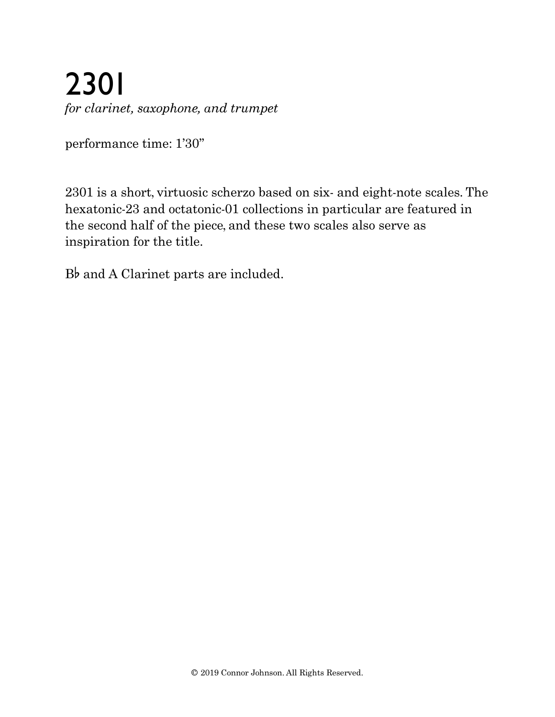## 2301 *for clarinet, saxophone, and trumpet*

performance time: 1'30"

2301 is a short, virtuosic scherzo based on six- and eight-note scales. The hexatonic-23 and octatonic-01 collections in particular are featured in the second half of the piece, and these two scales also serve as inspiration for the title.

B<sub>b</sub> and A Clarinet parts are included.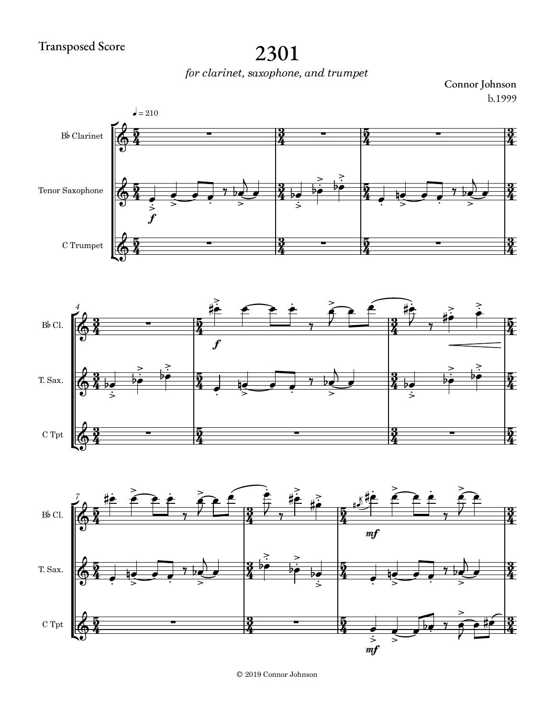## Transposed Score

## 2301

*for clarinet, saxophone, and trumpet*

Connor Johnson b.1999





© 2019 Connor Johnson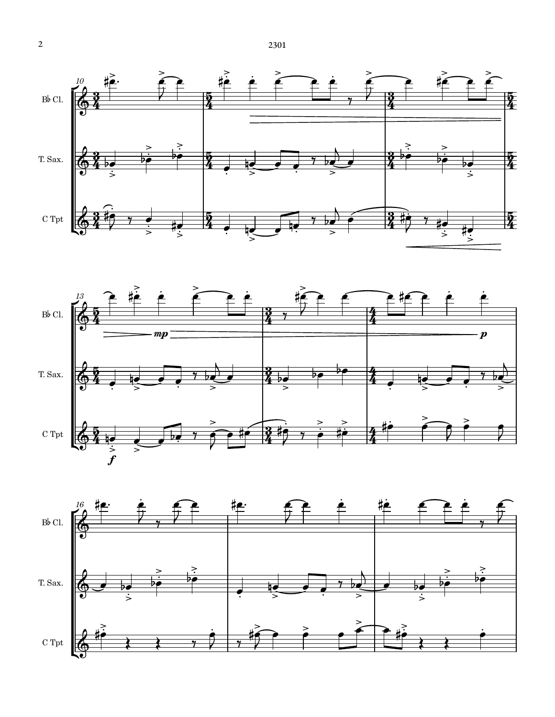





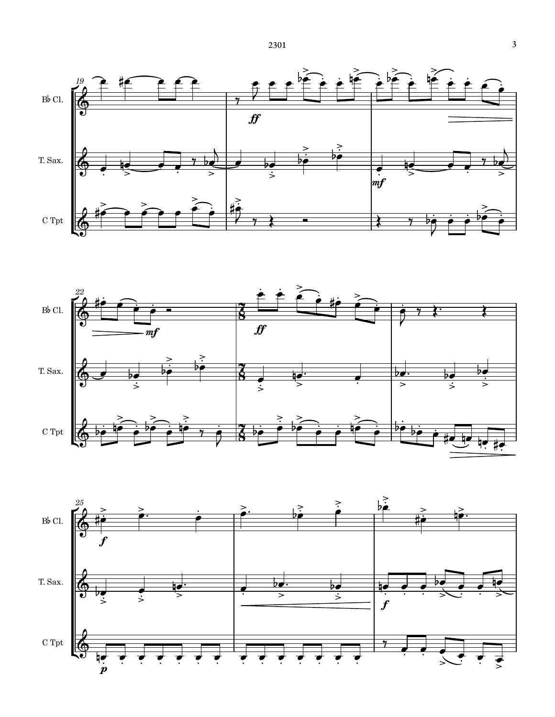





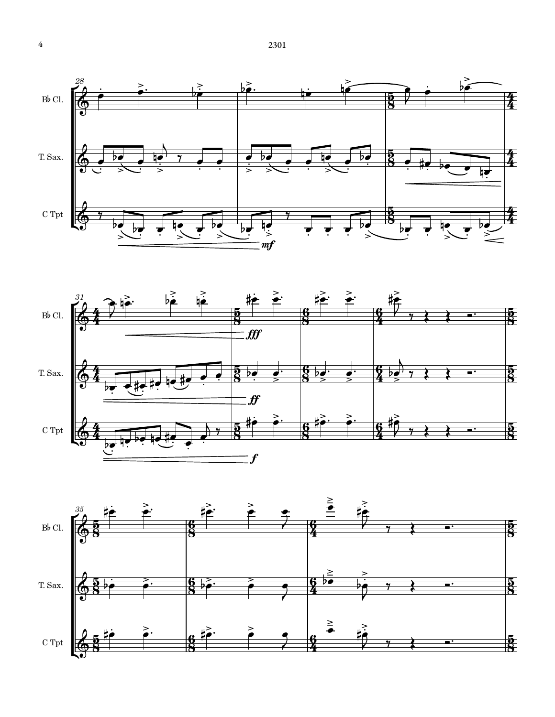



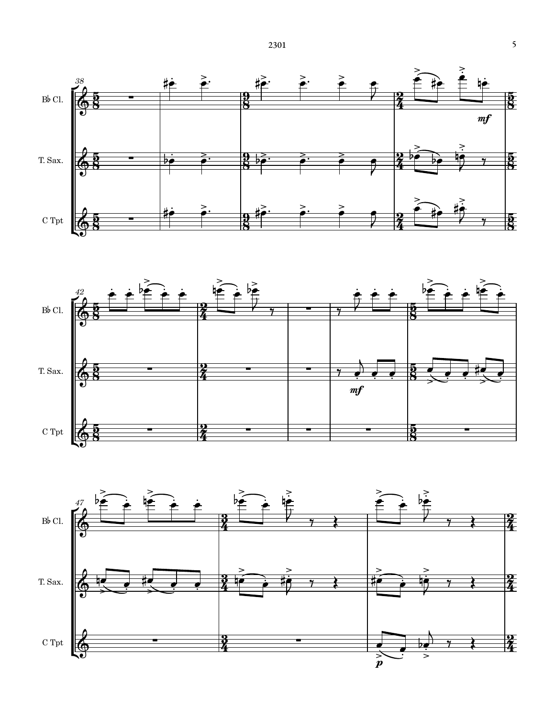



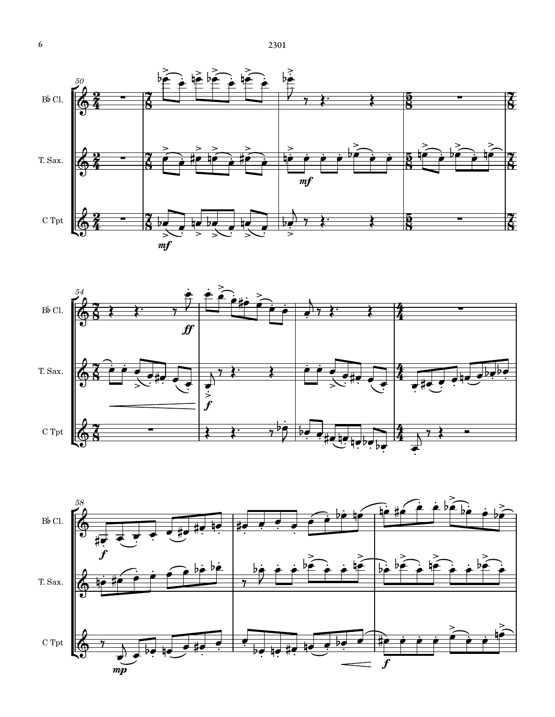#### 6 2301





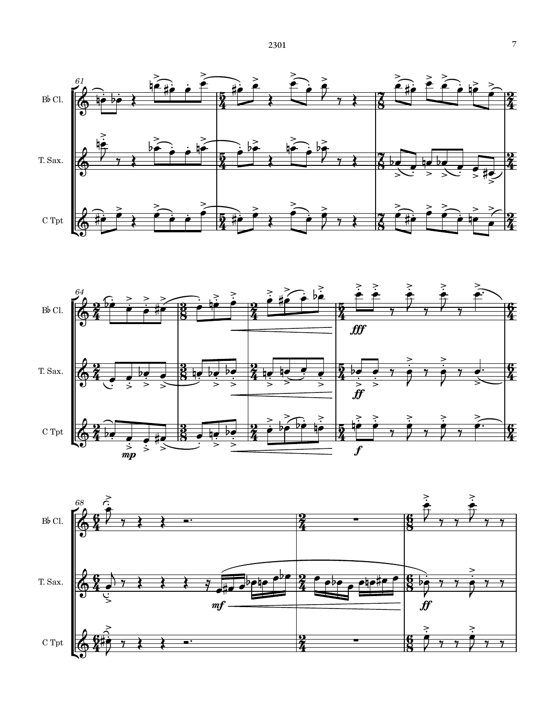





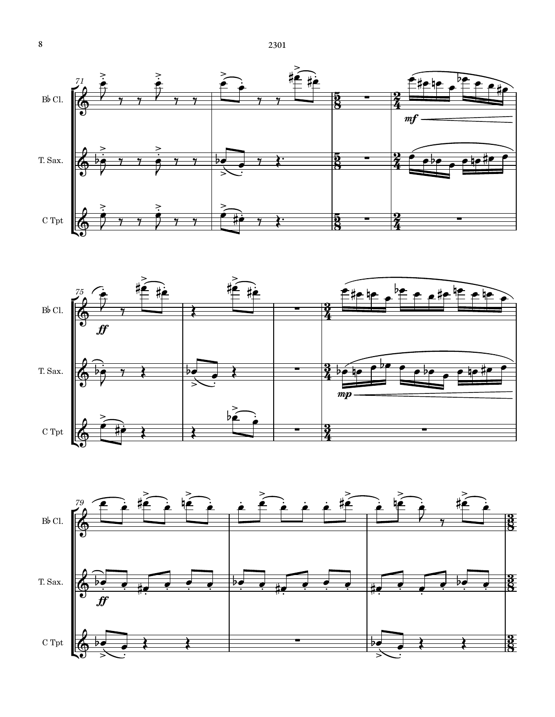





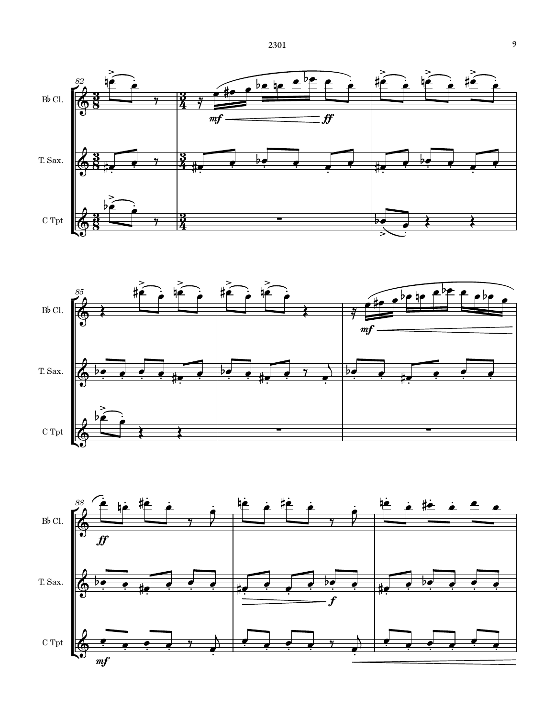